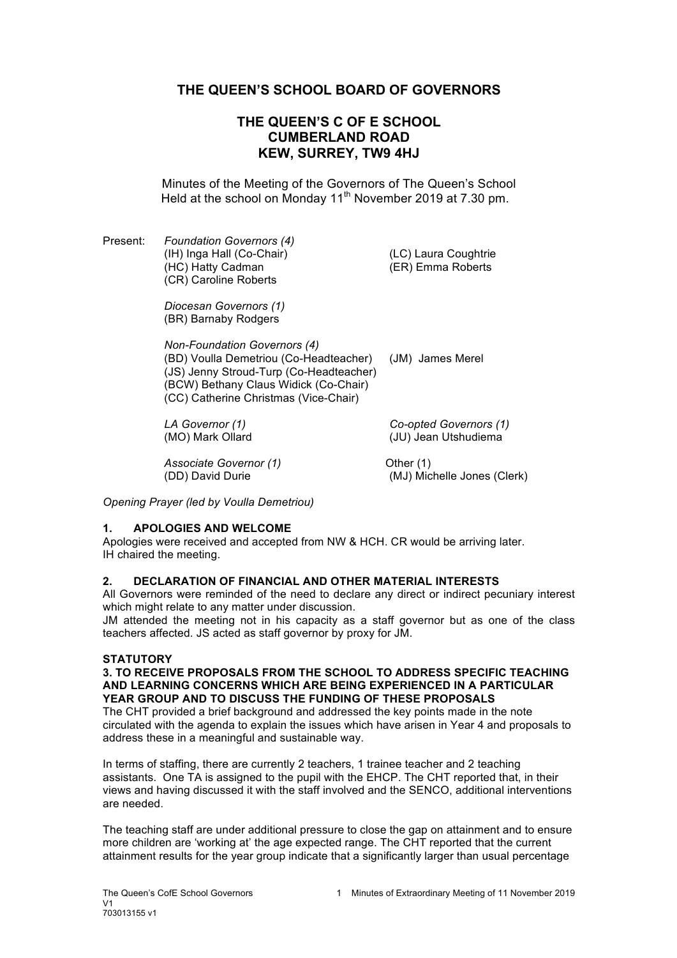# **THE QUEEN'S SCHOOL BOARD OF GOVERNORS**

# **THE QUEEN'S C OF E SCHOOL CUMBERLAND ROAD KEW, SURREY, TW9 4HJ**

Minutes of the Meeting of the Governors of The Queen's School Held at the school on Monday 11<sup>th</sup> November 2019 at 7.30 pm.

Present: *Foundation Governors (4)* (IH) Inga Hall (Co-Chair) (LC) Laura Coughtrie (HC) Hatty Cadman (ER) Emma Roberts (CR) Caroline Roberts

*Diocesan Governors (1)* (BR) Barnaby Rodgers

*Non-Foundation Governors (4)* (BD) Voulla Demetriou (Co-Headteacher) (JM) James Merel (JS) Jenny Stroud-Turp (Co-Headteacher) (BCW) Bethany Claus Widick (Co-Chair) (CC) Catherine Christmas (Vice-Chair)

*LA Governor (1) Co-opted Governors (1)* (MO) Mark Ollard (JU) Jean Utshudiema

Associate Governor (1) **Container Container (1)** Other (1)

(DD) David Durie (MJ) Michelle Jones (Clerk)

*Opening Prayer (led by Voulla Demetriou)*

## **1. APOLOGIES AND WELCOME**

Apologies were received and accepted from NW & HCH. CR would be arriving later. IH chaired the meeting.

## **2. DECLARATION OF FINANCIAL AND OTHER MATERIAL INTERESTS**

All Governors were reminded of the need to declare any direct or indirect pecuniary interest which might relate to any matter under discussion.

JM attended the meeting not in his capacity as a staff governor but as one of the class teachers affected. JS acted as staff governor by proxy for JM.

## **STATUTORY**

#### **3. TO RECEIVE PROPOSALS FROM THE SCHOOL TO ADDRESS SPECIFIC TEACHING AND LEARNING CONCERNS WHICH ARE BEING EXPERIENCED IN A PARTICULAR YEAR GROUP AND TO DISCUSS THE FUNDING OF THESE PROPOSALS**

The CHT provided a brief background and addressed the key points made in the note circulated with the agenda to explain the issues which have arisen in Year 4 and proposals to address these in a meaningful and sustainable way.

In terms of staffing, there are currently 2 teachers, 1 trainee teacher and 2 teaching assistants. One TA is assigned to the pupil with the EHCP. The CHT reported that, in their views and having discussed it with the staff involved and the SENCO, additional interventions are needed.

The teaching staff are under additional pressure to close the gap on attainment and to ensure more children are 'working at' the age expected range. The CHT reported that the current attainment results for the year group indicate that a significantly larger than usual percentage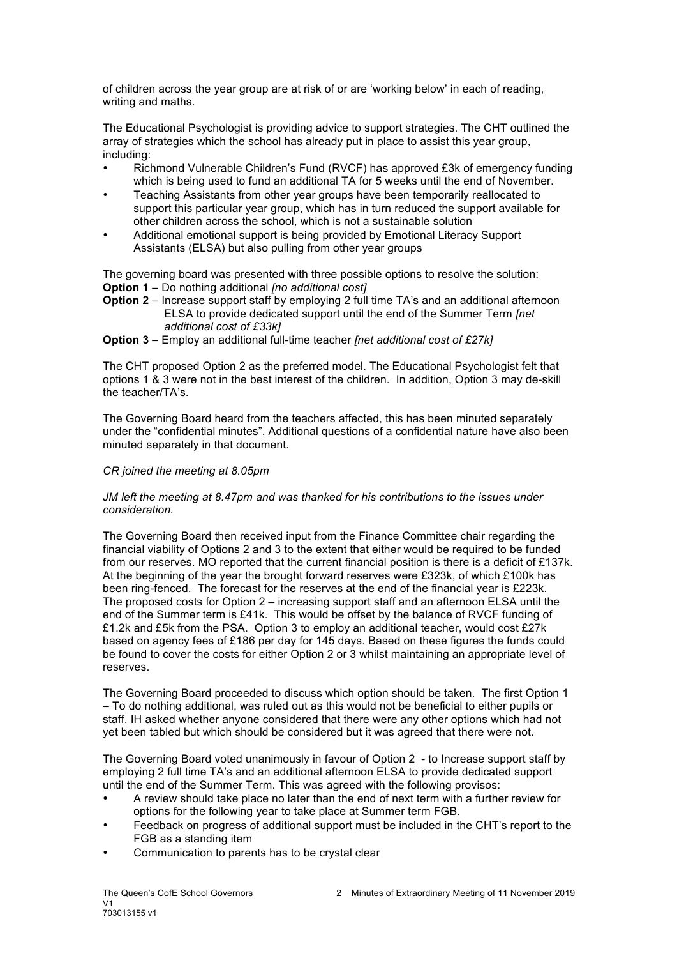of children across the year group are at risk of or are 'working below' in each of reading, writing and maths.

The Educational Psychologist is providing advice to support strategies. The CHT outlined the array of strategies which the school has already put in place to assist this year group, including:

- Richmond Vulnerable Children's Fund (RVCF) has approved £3k of emergency funding which is being used to fund an additional TA for 5 weeks until the end of November.
- Teaching Assistants from other year groups have been temporarily reallocated to support this particular year group, which has in turn reduced the support available for other children across the school, which is not a sustainable solution
- Additional emotional support is being provided by Emotional Literacy Support Assistants (ELSA) but also pulling from other year groups

The governing board was presented with three possible options to resolve the solution: **Option 1** – Do nothing additional *[no additional cost]*

**Option 2** – Increase support staff by employing 2 full time TA's and an additional afternoon ELSA to provide dedicated support until the end of the Summer Term *[net additional cost of £33k]*

**Option 3** – Employ an additional full-time teacher *[net additional cost of £27k]*

The CHT proposed Option 2 as the preferred model. The Educational Psychologist felt that options 1 & 3 were not in the best interest of the children. In addition, Option 3 may de-skill the teacher/TA's.

The Governing Board heard from the teachers affected, this has been minuted separately under the "confidential minutes". Additional questions of a confidential nature have also been minuted separately in that document.

#### *CR joined the meeting at 8.05pm*

#### *JM left the meeting at 8.47pm and was thanked for his contributions to the issues under consideration.*

The Governing Board then received input from the Finance Committee chair regarding the financial viability of Options 2 and 3 to the extent that either would be required to be funded from our reserves. MO reported that the current financial position is there is a deficit of £137k. At the beginning of the year the brought forward reserves were £323k, of which £100k has been ring-fenced. The forecast for the reserves at the end of the financial year is £223k. The proposed costs for Option 2 – increasing support staff and an afternoon ELSA until the end of the Summer term is £41k. This would be offset by the balance of RVCF funding of £1.2k and £5k from the PSA. Option 3 to employ an additional teacher, would cost £27k based on agency fees of £186 per day for 145 days. Based on these figures the funds could be found to cover the costs for either Option 2 or 3 whilst maintaining an appropriate level of reserves.

The Governing Board proceeded to discuss which option should be taken. The first Option 1 – To do nothing additional, was ruled out as this would not be beneficial to either pupils or staff. IH asked whether anyone considered that there were any other options which had not yet been tabled but which should be considered but it was agreed that there were not.

The Governing Board voted unanimously in favour of Option 2 - to Increase support staff by employing 2 full time TA's and an additional afternoon ELSA to provide dedicated support until the end of the Summer Term. This was agreed with the following provisos:

- A review should take place no later than the end of next term with a further review for options for the following year to take place at Summer term FGB.
- Feedback on progress of additional support must be included in the CHT's report to the FGB as a standing item
- Communication to parents has to be crystal clear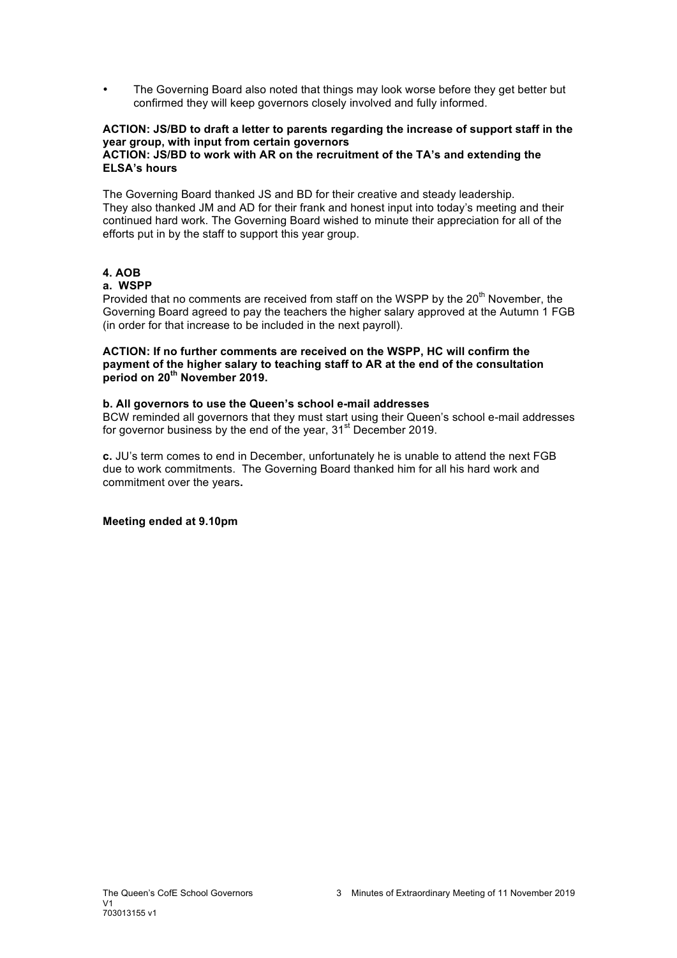• The Governing Board also noted that things may look worse before they get better but confirmed they will keep governors closely involved and fully informed.

#### **ACTION: JS/BD to draft a letter to parents regarding the increase of support staff in the year group, with input from certain governors ACTION: JS/BD to work with AR on the recruitment of the TA's and extending the ELSA's hours**

The Governing Board thanked JS and BD for their creative and steady leadership. They also thanked JM and AD for their frank and honest input into today's meeting and their continued hard work. The Governing Board wished to minute their appreciation for all of the efforts put in by the staff to support this year group.

## **4. AOB**

## **a. WSPP**

Provided that no comments are received from staff on the WSPP by the  $20<sup>th</sup>$  November, the Governing Board agreed to pay the teachers the higher salary approved at the Autumn 1 FGB (in order for that increase to be included in the next payroll).

**ACTION: If no further comments are received on the WSPP, HC will confirm the payment of the higher salary to teaching staff to AR at the end of the consultation period on 20th November 2019.**

## **b. All governors to use the Queen's school e-mail addresses**

BCW reminded all governors that they must start using their Queen's school e-mail addresses for governor business by the end of the year,  $31<sup>st</sup>$  December 2019.

**c.** JU's term comes to end in December, unfortunately he is unable to attend the next FGB due to work commitments. The Governing Board thanked him for all his hard work and commitment over the years**.**

**Meeting ended at 9.10pm**